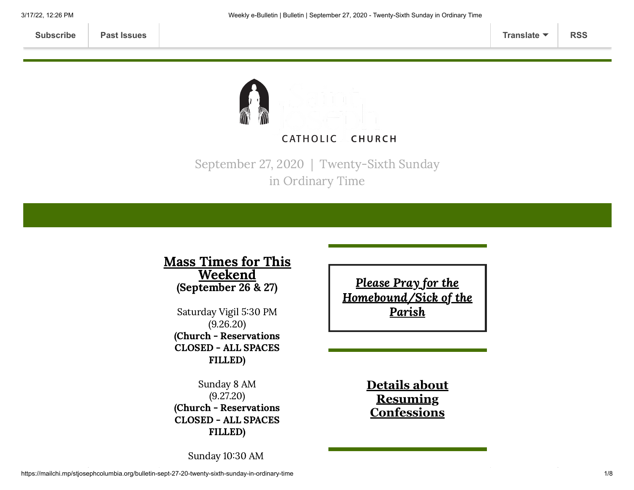

September 27, 2020 | Twenty-Sixth Sunday in Ordinary Time

# Mass Times for This **Weekend** (September 26 & 27)

Saturday Vigil 5:30 PM (9.26.20) (Church - Reservations CLOSED - ALL SPACES FILLED)

Sunday 8 AM (9.27.20) (Church - Reservations CLOSED - ALL SPACES FILLED)

Please Pray for the [Homebound/Sick](https://www.stjosephcolumbia.org/pray-for-the-homebound-sick-of-pari) of the Parish

> **Details about Resuming [Confessions](https://www.stjosephcolumbia.org/confessions)**

Sunday 10:30 AM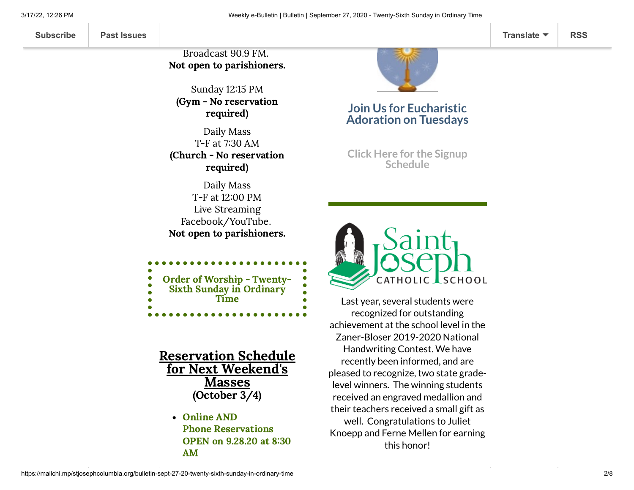Broadcast 90.9 FM. Not open to parishioners.

Sunday 12:15 PM (Gym - No reservation required)

Daily Mass T-F at 7:30 AM (Church - No reservation required)

Daily Mass T-F at 12:00 PM Live Streaming Facebook/YouTube. Not open to parishioners.

| <b>Order of Worship - Twenty-</b><br>Sixth Sunday in Ordinary |  |
|---------------------------------------------------------------|--|
| <b>Time</b>                                                   |  |
|                                                               |  |
|                                                               |  |

Reservation Schedule for Next Weekend's Masses (October 3/4)

> Online AND Phone Reservations OPEN on 9.28.20 at 8:30 AM



# **Join Us for Eucharistic Adoration on Tuesdays**

**Click Here for the Signup [Schedule](https://www.signupgenius.com/go/60b0c4faea822a7fa7-eucharistic)**



Last year, several students were recognized for outstanding achievement at the school level in the Zaner-Bloser 2019-2020 National Handwriting Contest. We have recently been informed, and are pleased to recognize, two state gradelevel winners. The winning students received an engraved medallion and their teachers received a small gift as well. Congratulations to Juliet Knoepp and Ferne Mellen for earning this honor!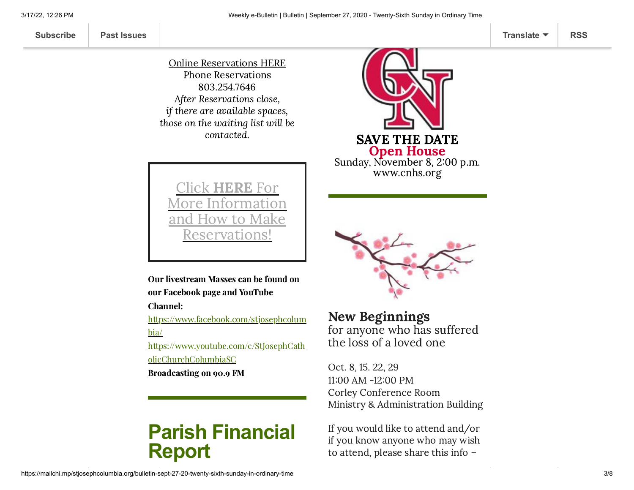Online [Reservations](https://www.stjosephcolumbia.org/reservating-your-space-for-masses) HERE Phone Reservations 803.254.7646 After Reservations close, if there are available spaces, those on the waiting list will be contacted.



Click HERE For More Information and How to Make eservations

Our livestream Masses can be found on our Facebook page and YouTube

Channel:

[https://www.facebook.com/stjosephcolum](https://www.facebook.com/stjosephcolumbia/) bia/

[https://www.youtube.com/c/StJosephCath](https://www.youtube.com/c/StJosephCatholicChurchColumbiaSC) olicChurchColumbiaSC

Broadcasting on 90.9 FM

# **Parish Financial Report**



New Beginnings for anyone who has suffered the loss of a loved one

Oct. 8, 15. 22, 29 11:00 AM -12:00 PM Corley Conference Room Ministry & Administration Building

If you would like to attend and/or if you know anyone who may wish to attend, please share this info –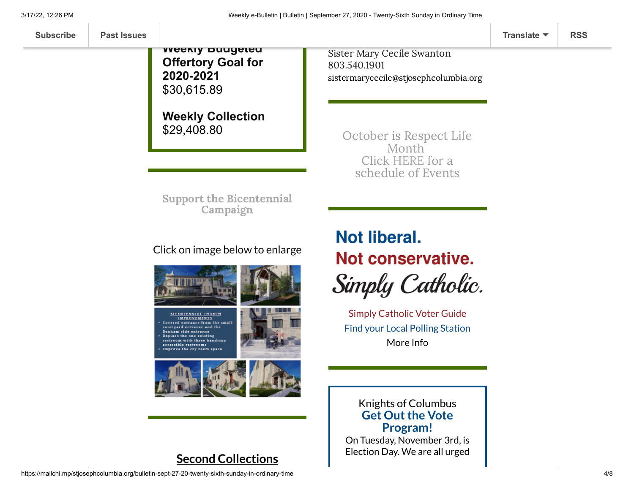**Weekly Budgeted Offertory Goal for 2020-2021** \$30,615.89

**Weekly Collection** \$29,408.80

Sister Mary Cecile Swanton 803.540.1901 [sistermarycecile@stjosephcolumbia.org](mailto:sistermarycecile@stjosephcolumbia.org)

October is Respect Life Month Click [HERE](https://mcusercontent.com/7399f6b35c8ab775fb1714c3d/files/eb1bc5f0-8dfb-46a7-a34f-b8f2d9b94d62/Rosary_for_Life_PPOct_2020.pdf) for a schedule of Events

Support the [Bicentennial](https://www.stjosephcolumbia.org/bicentennial-campaign) Campaign

## Click on image below to enlarge



**BICENTENNIAL CHURCH IMPROVEMENTS** Covered entrance from the small ourtyard entrance and the Bonham side entrance Replace the one existing restroom with three handicap<br>accessible restrooms





**Second Collections**

# Not liberal. Not conservative. Simply Catholic.

Simply [Catholic Voter](http://charlestondiocese.org/wp-content/uploads/2018/07/South-Carolina-Catholic-Conference-Simply-Catholic-Voter-Guide.pdf) Guide [Find your](https://info.scvotes.sc.gov/eng/voterinquiry/VoterInformationRequest.aspx?PageMode=VoterInfo) Local Polling Station [More](https://charlestondiocese.org/south-carolina-catholic-conference/your-vote/) Info

### **Get Out the Vote Program!** Knights of Columbus

On Tuesday, November 3rd, is Election Day. We are all urged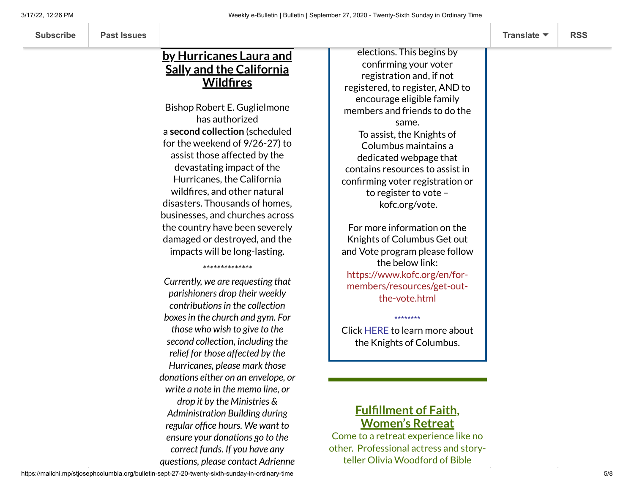# **by Hurricanes Laura and Sally and the California Wildfires**

**Relief for Those Affected**

Bishop Robert E. Guglielmone has authorized a **second collection** (scheduled for the weekend of 9/26-27) to assist those affected by the devastating impact of the Hurricanes, the California wildfires, and other natural disasters. Thousands of homes, businesses, and churches across the country have been severely damaged or destroyed, and the impacts will be long-lasting.

*\*\*\*\*\*\*\*\*\*\*\*\*\*\**

*Currently, we are requesting that parishioners drop their weekly contributionsin the collection boxesin the church and gym. For those who wish to give to the second collection, including the relief for those affected by the Hurricanes, please mark those donations either on an envelope, or write a note in the memo line, or drop it by the Ministries & Administration Building during regular office hours. We want to ensure your donations go to the correct funds. If you have any questions, please contact Adrienne*

elections. This begins by confirming your voter registration and, if not registered, to register, AND to encourage eligible family members and friends to do the same. To assist, the Knights of Columbus maintains a dedicated webpage that contains resources to assist in confirming voter registration or to register to vote – [kofc.org/vote.](https://stjosephcolumbia.us9.list-manage.com/track/click?u=7399f6b35c8ab775fb1714c3d&id=8b4952b182&e=7c4fe53ab3)

For more information on the Knights of Columbus Get out and Vote program please follow the below link: [https://www.kofc.org/en/for](https://stjosephcolumbia.us9.list-manage.com/track/click?u=7399f6b35c8ab775fb1714c3d&id=8fe64f6124&e=7c4fe53ab3)members/resources/get-outthe-vote.html

Click [HERE](https://files.constantcontact.com/4eac7125301/4f732e1e-ff76-4c1b-b70a-21883db50794.pdf) to learn more about the Knights of Columbus.

\*\*\*\*\*\*\*\*

# **Fulfillment of Faith, Women's Retreat**

Come to a retreat experience like no other. Professional actress and storyteller Olivia Woodford of Bible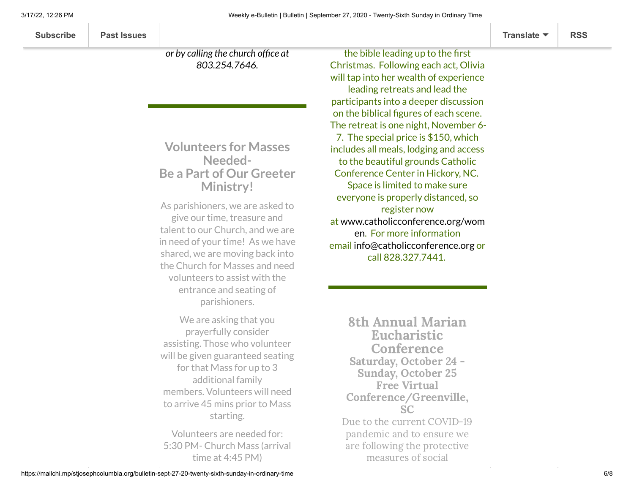**[Subscribe](http://eepurl.com/ded6Lz) [Past Issues](https://us9.campaign-archive.com/home/?u=7399f6b35c8ab775fb1714c3d&id=770b4a80d3) [Translate](javascript:;) [RSS](https://us9.campaign-archive.com/feed?u=7399f6b35c8ab775fb1714c3d&id=770b4a80d3)**

*or by calling the church office at*

*803.254.7646.*

# **Volunteers for Masses Needed-Be a Part of Our Greeter Ministry!**

As parishioners, we are asked to give our time, treasure and talent to our Church, and we are in need of your time! As we have shared, we are moving back into the Church for Masses and need volunteers to assist with the entrance and seating of parishioners.

We are asking that you prayerfully consider assisting. Those who volunteer will be given guaranteed seating for that Mass for up to 3 additional family members. Volunteers will need to arrive 45 mins prior to Mass starting.

Volunteers are needed for: 5:30 PM- Church Mass (arrival time at 4:45 PM)

the bible leading up to the first Christmas. Following each act, Olivia will tap into her wealth of experience leading retreats and lead the participants into a deeper discussion on the biblical figures of each scene. The retreat is one night, November 6- 7. The special price is \$150, which includes all meals, lodging and access to the beautiful grounds Catholic Conference Center in Hickory, NC. Space is limited to make sure everyone is properly distanced, so register now at [www.catholicconference.org/wom](https://linkprotect.cudasvc.com/url?a=http%3a%2f%2fwww.catholicconference.org%2fwomen&c=E,1,cmZZNyLZNiGHbPJdfchuVnsie9jhgtYpJ-6Ysi3dFJe4BtoRPTszOdOYwd4wWQ5qya9u5_2SEVYKna1N8E4_fKf6ViPmOKsMiX8mK3HU&typo=1) en. For more information email [info@catholicconference.org](mailto:info@catholicconference.org) or call 828.327.7441.

8th Annual Marian Eucharistic **Conference** Saturday, October 24 - Sunday, October 25 Free Virtual Conference/Greenville, SC Due to the current COVID-19 pandemic and to ensure we are following the protective measures of social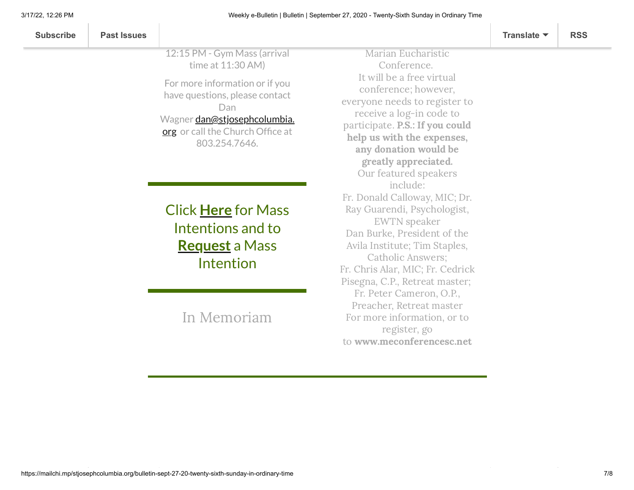| <b>Past Issues</b><br><b>Subscribe</b> | Translate $\blacktriangledown$ | <b>RSS</b> |
|----------------------------------------|--------------------------------|------------|
|----------------------------------------|--------------------------------|------------|

12:15 PM - Gym Mass (arrival time at 11:30 AM)

For more information or if you have questions, please contact Dan Wagner [dan@stjosephcolumbia.](mailto:dan@stjosephcolumbia.org) org or call the Church Office at 803.254.7646.

Click **[Here](https://www.stjosephcolumbia.org/mass-intentions)** for Mass Intentions and to **[Request](https://www.stjosephcolumbia.org/mass-intention-requests)** a Mass Intention

In [Memoriam](https://www.stjosephcolumbia.org/in-memoriam)

Marian Eucharistic Conference. It will be a free virtual conference; however, everyone needs to register to receive a log-in code to participate. P.S.: If you could help us with the expenses, any donation would be greatly appreciated. Our featured speakers include: Fr. Donald Calloway, MIC; Dr. Ray Guarendi, Psychologist, EWTN speaker Dan Burke, President of the Avila Institute; Tim Staples, Catholic Answers; Fr. Chris Alar, MIC; Fr. Cedrick Pisegna, C.P., Retreat master; Fr. Peter Cameron, O.P., Preacher, Retreat master For more information, or to register, go to [www.meconferencesc.net](https://linkprotect.cudasvc.com/url?a=http%3a%2f%2fwww.meconferencesc.net%2f&c=E,1,3sQUxXUb2Ho3VZ82Y9hNhoIOicu6RKsfBpOjmi9cXzKKurX-P9cGmNV6WK3ESjbkp0fXhO9zUtUSjLUgjng_CUY_Ca_VVOJp7oA7seNARP8,&typo=1)